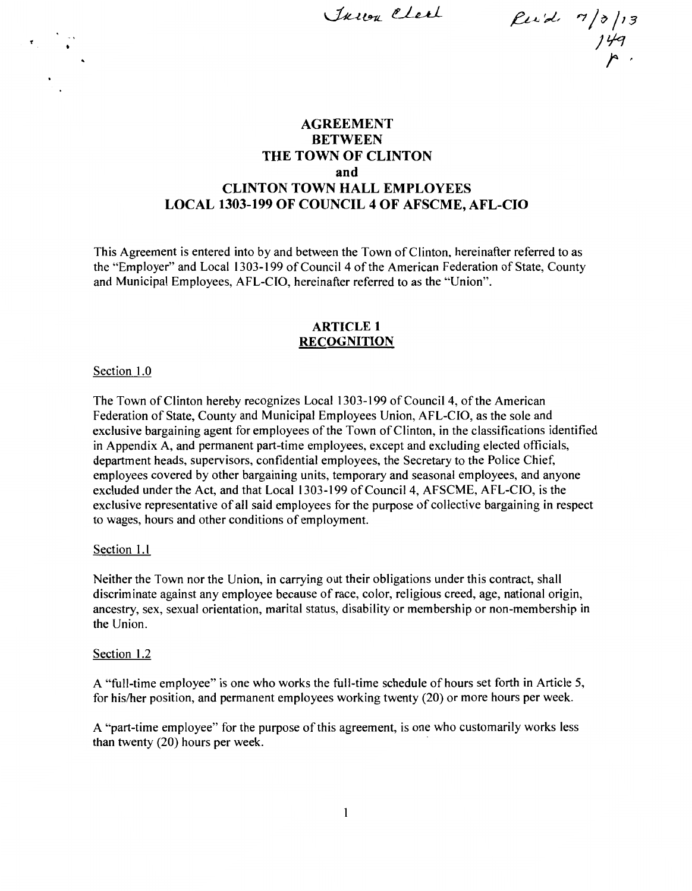Truon Clerk

 $\beta$ uid.  $7/3/13$ Jlfc! **r,** 

## **AGREEMENT BETWEEN THE TOWN OF CLINTON and CLINTON TOWN HALL EMPLOYEES LOCAL 1303-199 OF COUNCIL 4 OF AFSCME, AFL-CIO**

This Agreement is entered into by and between the Town of Clinton, hereinafter referred to as the "Employer" and Local 1303-199 of Council 4 of the American Federation of State, County and Municipal Employees, AFL-CIO, hereinafter referred to as the "Union".

## **ARTICLE 1 RECOGNITION**

#### Section 1.0

The Town of Clinton hereby recognizes Local 1303-199 of Council 4, of the American Federation of State, County and Municipal Employees Union, AFL-CIO, as the sole and exclusive bargaining agent for employees of the Town of Clinton, in the classifications identified in Appendix A, and permanent part-time employees, except and excluding elected officials, department heads, supervisors, confidential employees, the Secretary to the Police Chief, employees covered by other bargaining units, temporary and seasonal employees, and anyone excluded under the Act, and that Local 1303-199 of Council 4, AFSCME, AFL-CIO, is the exclusive representative of all said employees for the purpose of collective bargaining in respect to wages, hours and other conditions of employment.

#### Section 1.1

Neither the Town nor the Union, in carrying out their obligations under this contract, shall discriminate against any employee because of race, color, religious creed, age, national origin, ancestry, sex, sexual orientation, marital status, disability or membership or non-membership in the Union.

#### Section 1.2

A "full-time employee" is one who works the full-time schedule of hours set forth in Article 5, for his/her position, and permanent employees working twenty (20) or more hours per week.

A "part-time employee" for the purpose of this agreement, is one who customarily works less than twenty (20) hours per week.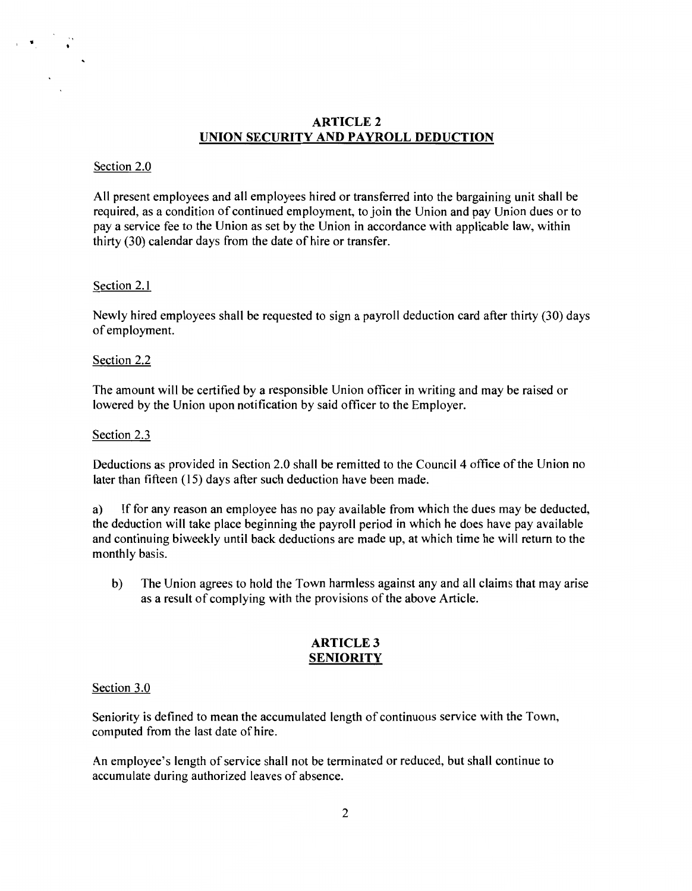## **ARTICLE2 UNION SECURITY AND PAYROLL DEDUCTION**

## Section 2.0

 $\mathcal{F} = \mathcal{F}$ 

All present employees and all employees hired or transferred into the bargaining unit shall be required, as a condition of continued employment, to join the Union and pay Union dues or to pay a service fee to the Union as set by the Union in accordance with applicable law, within thirty (30) calendar days from the date of hire or transfer.

## Section 2.1

Newly hired employees shall be requested to sign a payroll deduction card after thirty (30) days of employment.

#### Section 2.2

The amount will be certified by a responsible Union officer in writing and may be raised or lowered by the Union upon notification by said officer to the Employer.

#### Section 2.3

Deductions as provided in Section 2.0 shall be remitted to the Council 4 office of the Union no later than fifteen (15) days after such deduction have been made.

a) If for any reason an employee has no pay available from which the dues may be deducted, the deduction will take place beginning the payroll period in which he does have pay available and continuing biweekly until back deductions are made up, at which time he will return to the monthly basis.

b) The Union agrees to hold the Town harmless against any and all claims that may arise as a result of complying with the provisions of the above Article.

## **ARTICLE3 SENIORITY**

#### Section 3.0

Seniority is defined to mean the accumulated length of continuous service with the Town, computed from the last date of hire.

An employee's length of service shall not be terminated or reduced, but shall continue to accumulate during authorized leaves of absence.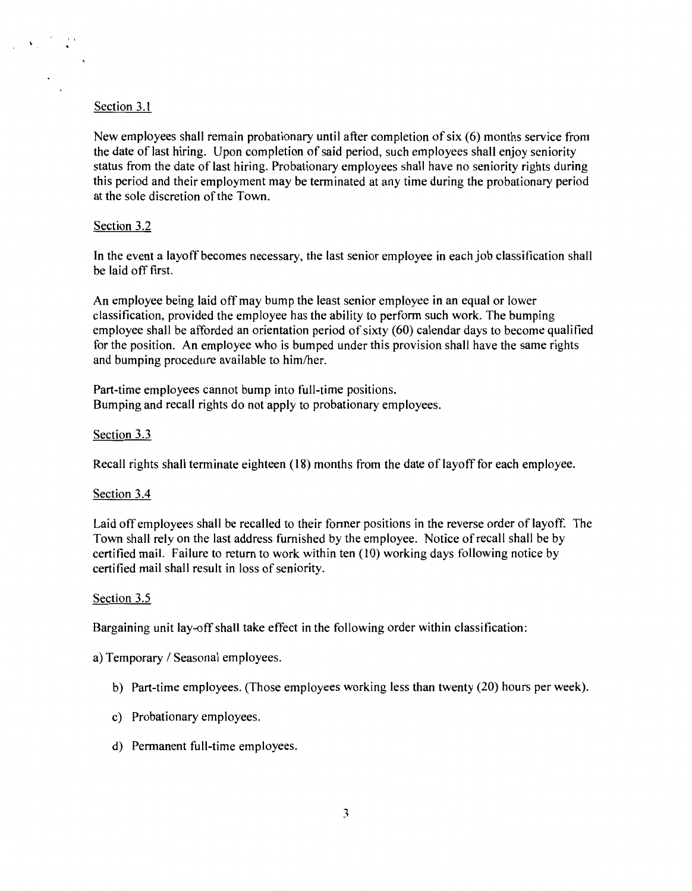## Section 3.1

New employees shall remain probationary until after completion of six (6) months service from the date of last hiring. Upon completion of said period, such employees shall enjoy seniority status from the date of last hiring. Probationary employees shall have no seniority rights during this period and their employment may be terminated at any time during the probationary period at the sole discretion of the Town.

### Section 3.2

In the event a layoff becomes necessary, the last senior employee in each job classification shall be laid off first.

An employee being laid off may bump the least senior employee in an equal or lower classification, provided the employee has the ability to perform such work. The bumping employee shall be afforded an orientation period of sixty (60) calendar days to become qualified for the position. An employee who is bumped under this provision shall have the same rights and bumping procedure available to him/her.

Part-time employees cannot bump into full-time positions. Bumping and recall rights do not apply to probationary employees.

#### Section 3.3

Recall rights shall terminate eighteen (18) months from the date of layoff for each employee.

#### Section 3.4

Laid off employees shall be recalled to their former positions in the reverse order of layoff. The Town shall rely on the last address furnished by the employee. Notice of recall shall be by certified mail. Failure to return to work within ten (10) working days following notice by certified mail shall result in loss of seniority.

#### Section 3.5

Bargaining unit lay-off shall take effect in the following order within classification:

a) Temporary / Seasonal employees.

- b) Part-time employees. (Those employees working less than twenty (20) hours per week).
- c) Probationary employees.
- d) Permanent full-time employees.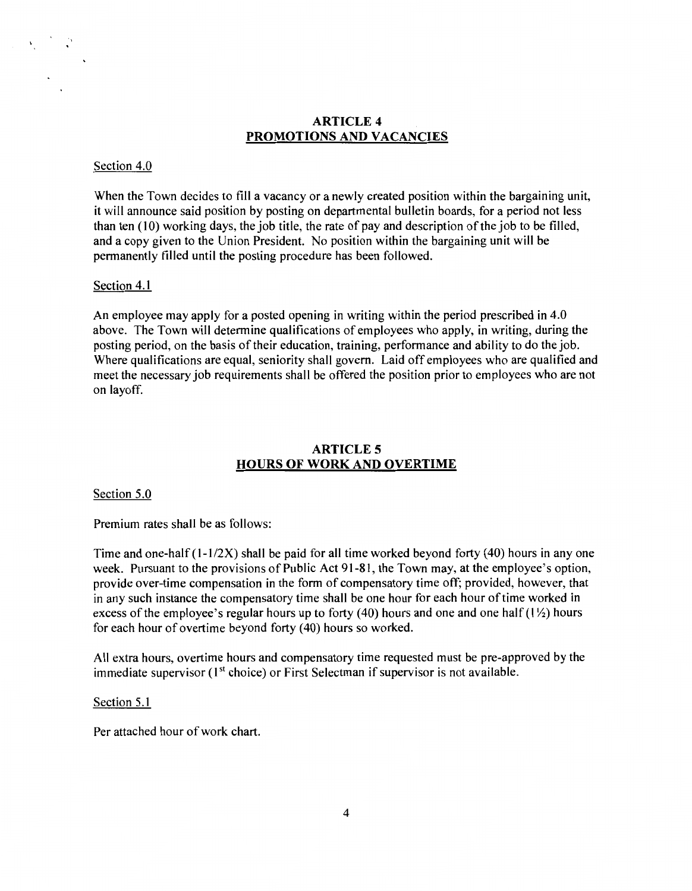## ARTICLE 4 PROMOTIONS AND VACANCIES

#### Section 4.0

When the Town decides to fill a vacancy or a newly created position within the bargaining unit, it will announce said position by posting on departmental bulletin boards, for a period not less than ten  $(10)$  working days, the job title, the rate of pay and description of the job to be filled, and a copy given to the Union President. No position within the bargaining unit will be permanently filled until the posting procedure has been followed.

#### Section 4.1

An employee may apply for a posted opening in writing within the period prescribed in 4.0 above. The Town will determine qualifications of employees who apply, in writing, during the posting period, on the basis of their education, training, performance and ability to do the job. Where qualifications are equal, seniority shall govern. Laid off employees who are qualified and meet the necessary job requirements shall be offered the position prior to employees who are not on layoff.

## ARTICLE 5 HOURS OF WORK AND OVERTIME

Section 5.0

Premium rates shall be as follows:

Time and one-half  $(1-1/2X)$  shall be paid for all time worked beyond forty (40) hours in any one week. Pursuant to the provisions of Public Act 91-81, the Town may, at the employee's option, provide over-time compensation in the form of compensatory time off; provided, however, that in any such instance the compensatory time shall be one hour for each hour of time worked in excess of the employee's regular hours up to forty (40) hours and one and one half ( $1\frac{1}{2}$ ) hours for each hour of overtime beyond forty (40) hours so worked.

All extra hours, overtime hours and compensatory time requested must be pre-approved by the immediate supervisor  $(1<sup>st</sup> choice)$  or First Selectman if supervisor is not available.

#### Section 5.1

Per attached hour of work chart.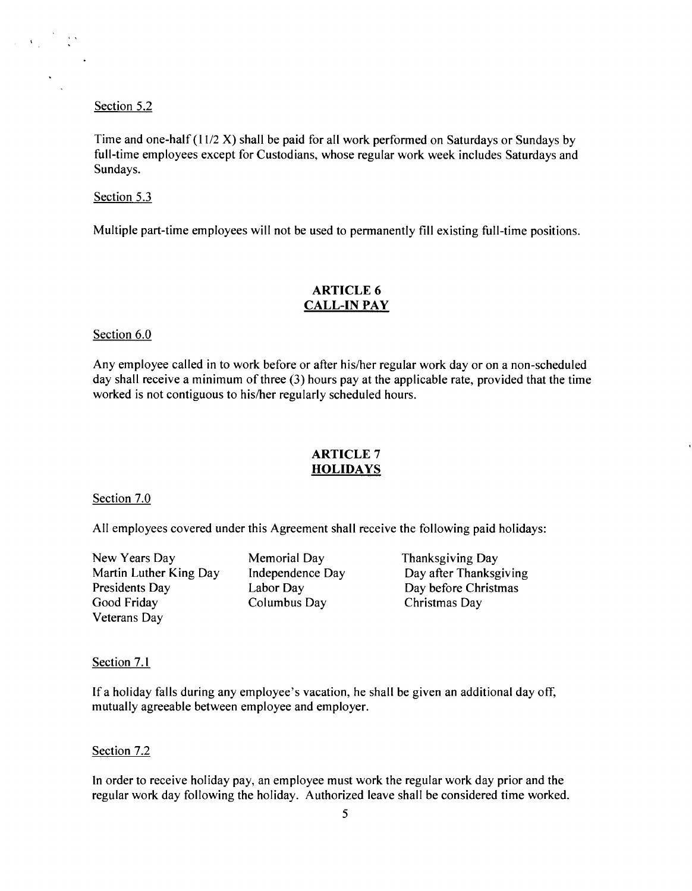Section 5.2

Time and one-half  $(11/2 X)$  shall be paid for all work performed on Saturdays or Sundays by full-time employees except for Custodians, whose regular work week includes Saturdays and Sundays.

#### Section 5.3

Multiple part-time employees will not be used to permanently fill existing full-time positions.

## **ARTICLE 6 CALL-IN PAY**

Section 6.0

Any employee called in to work before or after his/her regular work day or on a non-scheduled day shall receive a minimum of three (3) hours pay at the applicable rate, provided that the time worked is not contiguous to his/her regularly scheduled hours.

## **ARTICLE 7 HOLIDAYS**

#### Section 7.0

All employees covered under this Agreement shall receive the following paid holidays:

New Years Day Martin Luther King Day Presidents Day Good Friday Veterans Day

Memorial Day Independence Day Labor Day Columbus Day

Thanksgiving Day Day after Thanksgiving Day before Christmas Christmas Day

Section 7.1

If a holiday falls during any employee's vacation, he shall be given an additional day off, mutually agreeable between employee and employer.

#### Section 7.2

In order to receive holiday pay, an employee must work the regular work day prior and the regular work day following the holiday. Authorized leave shall be considered time worked.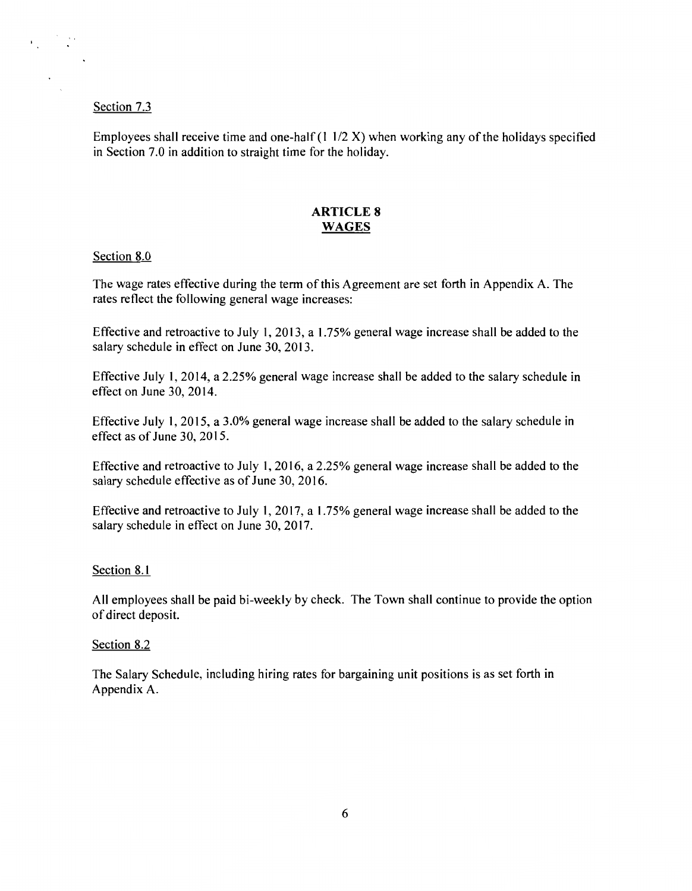#### Section 7.3

Employees shall receive time and one-half  $(11/2 X)$  when working any of the holidays specified in Section 7.0 in addition to straight time for the holiday.

## **ARTICLE 8 WAGES**

#### Section 8.0

The wage rates effective during the term of this Agreement are set forth in Appendix A. The rates reflect the following general wage increases:

Effective and retroactive to July I, 20I3, a 1.75% general wage increase shall be added to the salary schedule in effect on June 30, 20I3.

Effective July I, 20I4, a 2.25% general wage increase shall be added to the salary schedule in effect on June 30, 20I4.

Effective July I, 20I5, a 3.0% general wage increase shall be added to the salary schedule in effect as of June 30, 20I5.

Effective and retroactive to July I, 20I6, a 2.25% general wage increase shall be added to the salary schedule effective as of June 30, 20I6.

Effective and retroactive to July I, 20I7, a 1.75% general wage increase shall be added to the salary schedule in effect on June 30, 20I7.

## Section 8.I

All employees shall be paid bi-weekly by check. The Town shall continue to provide the option of direct deposit.

#### Section 8.2

The Salary Schedule, including hiring rates for bargaining unit positions is as set forth in Appendix A.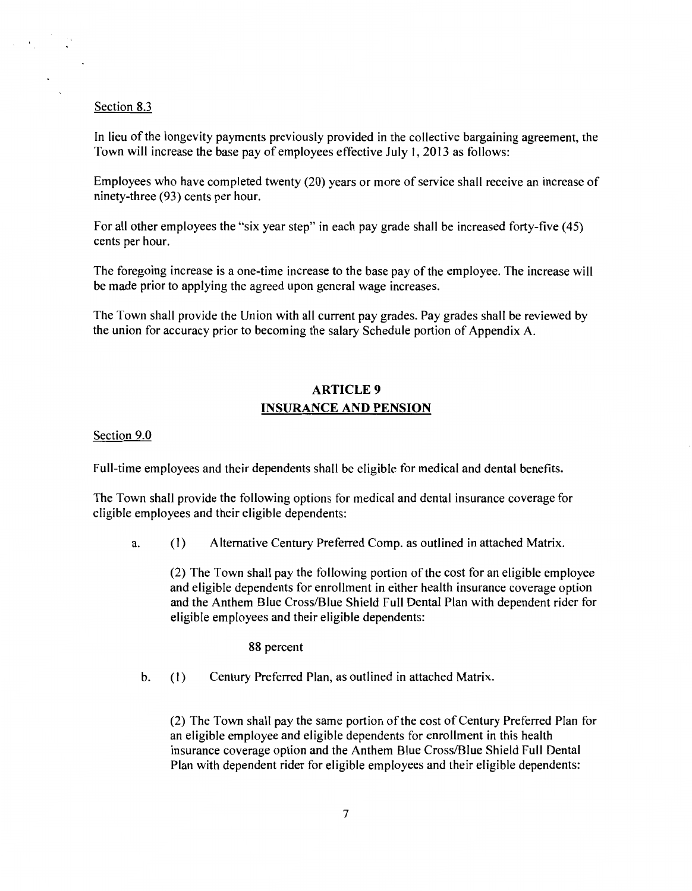#### Section 8.3

In lieu of the longevity payments previously provided in the collective bargaining agreement, the Town will increase the base pay of employees effective July I, 2013 as follows:

Employees who have completed twenty (20) years or more of service shall receive an increase of ninety-three (93) cents per hour.

For all other employees the "six year step" in each pay grade shall be increased forty-five ( 45) cents per hour.

The foregoing increase is a one-time increase to the base pay of the employee. The increase will be made prior to applying the agreed upon general wage increases.

The Town shall provide the Union with all current pay grades. Pay grades shall be reviewed by the union for accuracy prior to becoming the salary Schedule portion of Appendix A.

## ARTICLE 9 INSURANCE AND PENSION

Section 9.0

Full-time employees and their dependents shall be eligible for medical and dental benefits.

The Town shall provide the following options for medical and dental insurance coverage for eligible employees and their eligible dependents:

a. (I) Alternative Century Preferred Comp. as outlined in attached Matrix.

(2) The Town shall pay the following portion of the cost for an eligible employee and eligible dependents for enrollment in either health insurance coverage option and the Anthem Blue Cross/Blue Shield Full Dental Plan with dependent rider for eligible employees and their eligible dependents:

88 percent

b. (I) Century Preferred Plan, as outlined in attached Matrix.

(2) The Town shall pay the same portion ofthe cost of Century Preferred Plan for an eligible employee and eligible dependents for enrollment in this health insurance coverage option and the Anthem Blue Cross/Blue Shield Full Dental Plan with dependent rider for eligible employees and their eligible dependents: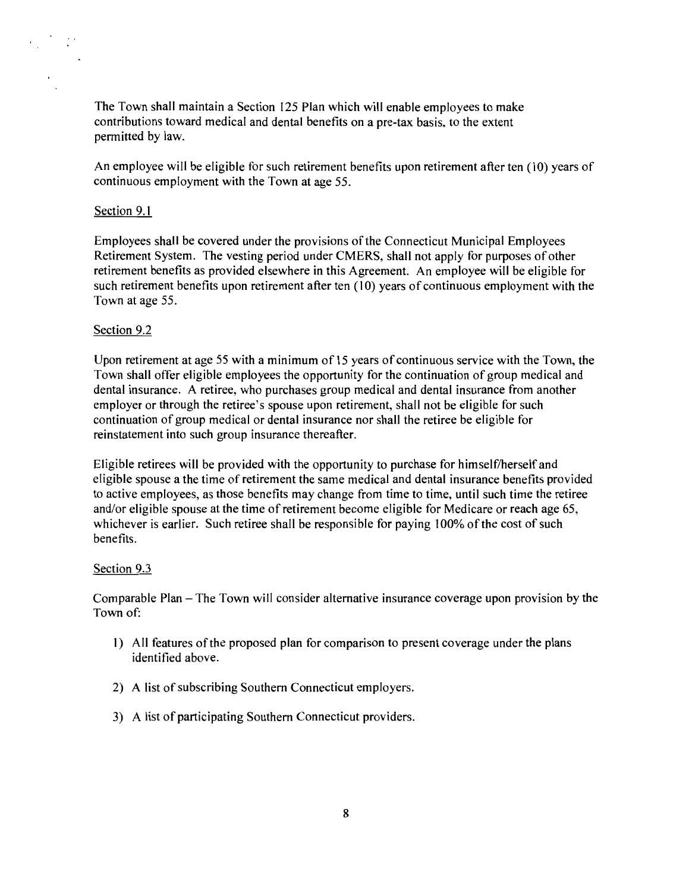The Town shall maintain a Section 125 Plan which will enable employees to make contributions toward medical and dental benefits on a pre-tax basis, to the extent permitted by law.

An employee will be eligible for such retirement benefits upon retirement after ten (10) years of continuous employment with the Town at age 55.

#### Section 9.1

Employees shall be covered under the provisions of the Connecticut Municipal Employees Retirement System. The vesting period under CMERS, shall not apply for purposes of other retirement benefits as provided elsewhere in this Agreement. An employee will be eligible for such retirement benefits upon retirement after ten (10) years of continuous employment with the Town at age 55.

#### Section 9.2

Upon retirement at age 55 with a minimum of 15 years of continuous service with the Town, the Town shall offer eligible employees the opportunity for the continuation of group medical and dental insurance. A retiree, who purchases group medical and dental insurance from another employer or through the retiree's spouse upon retirement, shall not be eligible for such continuation of group medical or dental insurance nor shall the retiree be eligible for reinstatement into such group insurance thereafter.

Eligible retirees will be provided with the opportunity to purchase for himself/herself and eligible spouse a the time of retirement the same medical and dental insurance benefits provided to active employees, as those benefits may change from time to time, until such time the retiree and/or eligible spouse at the time of retirement become eligible for Medicare or reach age 65, whichever is earlier. Such retiree shall be responsible for paying 100% of the cost of such benefits.

## Section 9.3

Comparable Plan- The Town will consider alternative insurance coverage upon provision by the Town of:

- 1) All features ofthe proposed plan for comparison to present coverage under the plans identified above.
- 2) A list of subscribing Southern Connecticut employers.
- 3) A list of participating Southern Connecticut providers.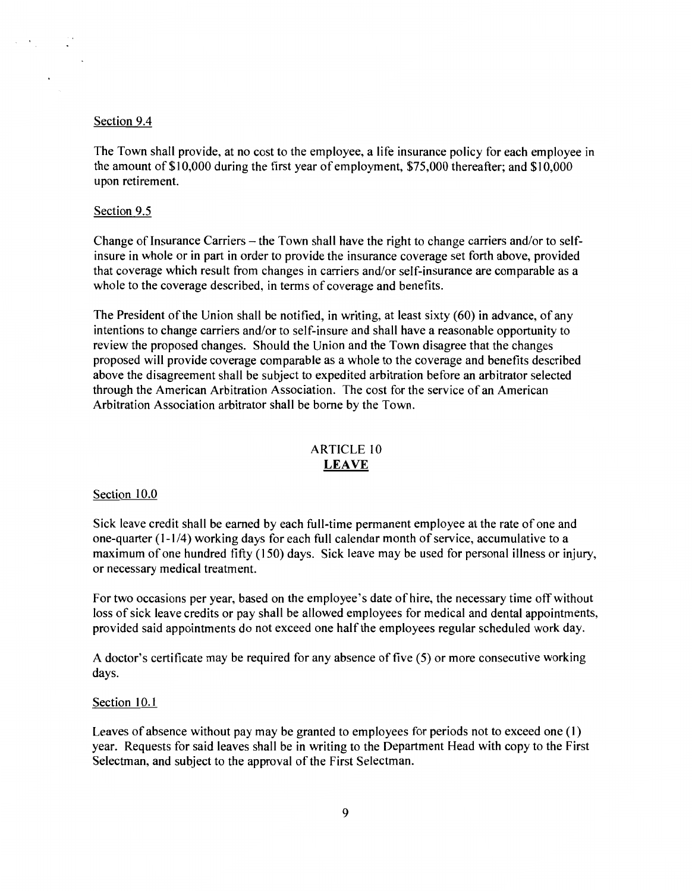#### Section 9.4

 $\label{eq:2.1} \mathcal{L}=\mathcal{L}_{\text{max}}=\mathcal{L}_{\text{max}}$ 

The Town shall provide, at no cost to the employee, a life insurance policy for each employee in the amount of \$I 0,000 during the first year of employment, \$75,000 thereafter; and \$I 0,000 upon retirement.

#### Section 9.5

Change of Insurance Carriers- the Town shall have the right to change carriers and/or to selfinsure in whole or in part in order to provide the insurance coverage set forth above, provided that coverage which result from changes in carriers and/or self-insurance are comparable as a whole to the coverage described, in terms of coverage and benefits.

The President of the Union shall be notified, in writing, at least sixty  $(60)$  in advance, of any intentions to change carriers and/or to self-insure and shall have a reasonable opportunity to review the proposed changes. Should the Union and the Town disagree that the changes proposed will provide coverage comparable as a whole to the coverage and benefits described above the disagreement shall be subject to expedited arbitration before an arbitrator selected through the American Arbitration Association. The cost for the service of an American Arbitration Association arbitrator shall be borne by the Town.

## ARTICLE IO **LEAVE**

#### Section 10.0

Sick leave credit shall be earned by each full-time permanent employee at the rate of one and one-quarter (1-1/4) working days for each full calendar month of service, accumulative to a maximum of one hundred fifty (150) days. Sick leave may be used for personal illness or injury, or necessary medical treatment.

For two occasions per year, based on the employee's date of hire, the necessary time off without loss of sick leave credits or pay shall be allowed employees for medical and dental appointments, provided said appointments do not exceed one half the employees regular scheduled work day.

A doctor's certificate may be required for any absence of five (5) or more consecutive working days.

#### Section 10.1

Leaves of absence without pay may be granted to employees for periods not to exceed one (I) year. Requests for said leaves shall be in writing to the Department Head with copy to the First Selectman, and subject to the approval of the First Selectman.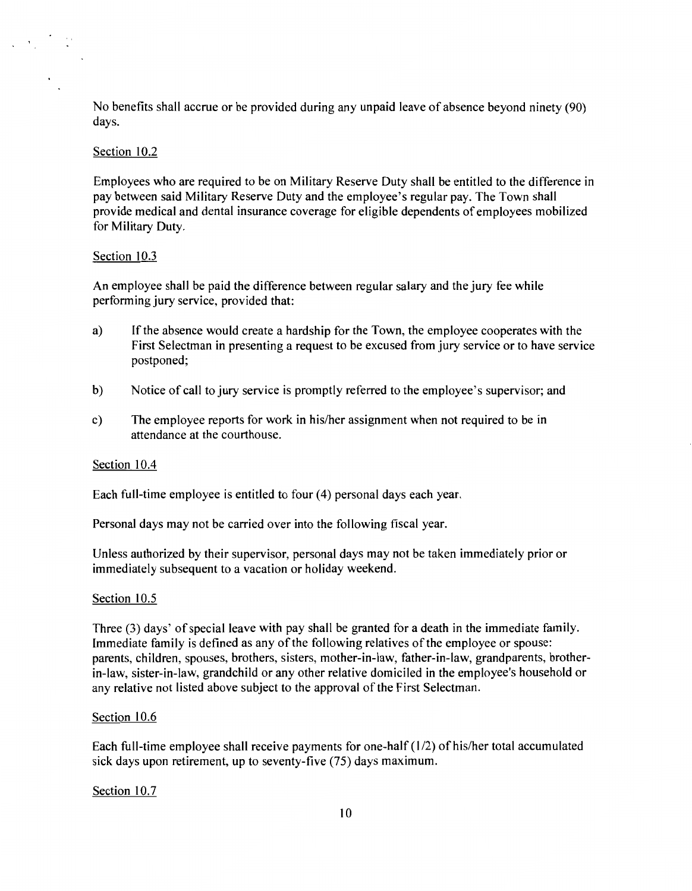No benefits shall accrue or be provided during any unpaid leave of absence beyond ninety (90) days.

#### Section 10.2

 $\sqrt{2} \, \sqrt{2} \, \sqrt{2} \, \sqrt{2}$ 

Employees who are required to be on Military Reserve Duty shall be entitled to the difference in pay between said Military Reserve Duty and the employee's regular pay. The Town shall provide medical and dental insurance coverage for eligible dependents of employees mobilized for Military Duty.

#### Section 10.3

An employee shall be paid the difference between regular salary and the jury fee while performing jury service, provided that:

- a) If the absence would create a hardship for the Town, the employee cooperates with the First Selectman in presenting a request to be excused from jury service or to have service postponed;
- b) Notice of call to jury service is promptly referred to the employee's supervisor; and
- c) The employee reports for work in his/her assignment when not required to be in attendance at the courthouse.

#### Section 10.4

Each full-time employee is entitled to four (4) personal days each year.

Personal days may not be carried over into the following fiscal year.

Unless authorized by their supervisor, personal days may not be taken immediately prior or immediately subsequent to a vacation or holiday weekend.

#### Section 10.5

Three (3) days' of special leave with pay shall be granted for a death in the immediate family. Immediate family is defined as any of the following relatives of the employee or spouse: parents, children, spouses, brothers, sisters, mother-in-law, father-in-law, grandparents, brotherin-law, sister-in-law, grandchild or any other relative domiciled in the employee's household or any relative not listed above subject to the approval of the First Selectman.

#### Section 10.6

Each full-time employee shall receive payments for one-half (1/2) of his/her total accumulated sick days upon retirement, up to seventy-five (75) days maximum.

Section 10.7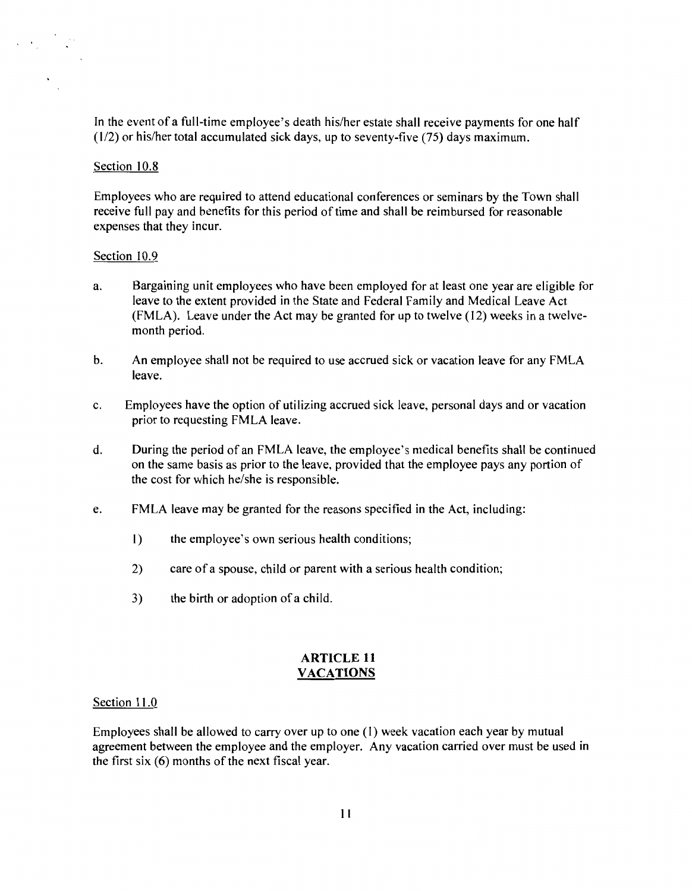In the event of a full-time employee's death his/her estate shall receive payments for one half (1/2) or his/her total accumulated sick days, up to seventy-five (75) days maximum.

#### Section 10.8

Employees who are required to attend educational conferences or seminars by the Town shall receive full pay and benefits for this period of time and shall be reimbursed for reasonable expenses that they incur.

#### Section 10.9

- a. Bargaining unit employees who have been employed for at least one year are eligible for leave to the extent provided in the State and Federal Family and Medical Leave Act (FMLA). Leave under the Act may be granted for up to twelve (12) weeks in a twelvemonth period.
- b. An employee shall not be required to use accrued sick or vacation leave for any FMLA leave.
- c. Employees have the option of utilizing accrued sick leave, personal days and or vacation prior to requesting FMLA leave.
- d. During the period of an FMLA leave, the employee's medical benefits shall be continued on the same basis as prior to the leave, provided that the employee pays any portion of the cost for which he/she is responsible.
- e. FMLA leave may be granted for the reasons specified in the Act, including:
	- I) the employee's own serious health conditions;
	- 2) care of a spouse, child or parent with a serious health condition;
	- 3) the birth or adoption of a child.

#### **ARTICLE 11 VACATIONS**

#### Section 11.0

Employees shall be allowed to carry over up to one (1) week vacation each year by mutual agreement between the employee and the employer. Any vacation carried over must be used in the first six (6) months of the next fiscal year.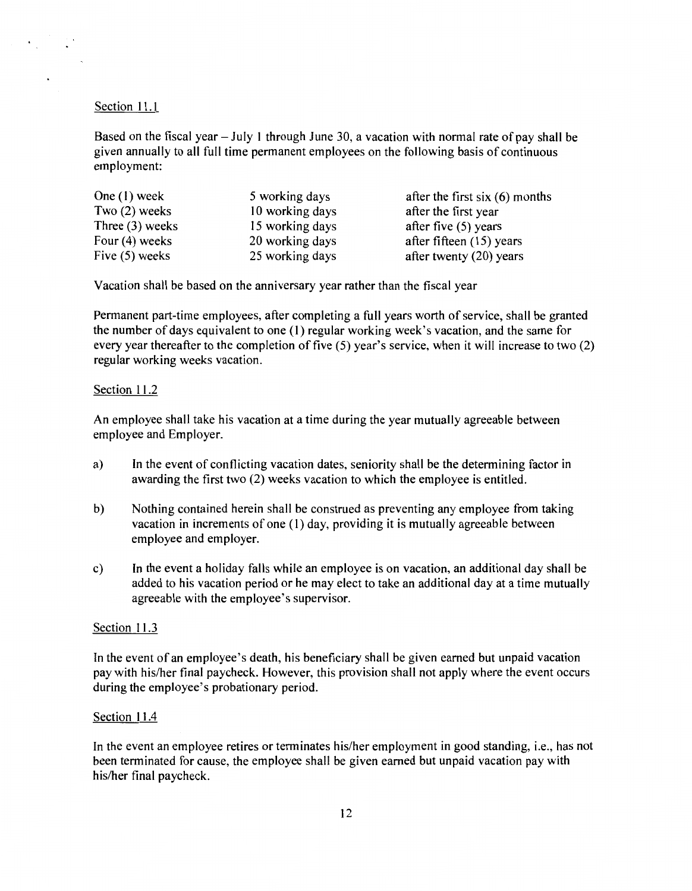## Section 11.1

Based on the fiscal year  $-$  July 1 through June 30, a vacation with normal rate of pay shall be given annually to all full time permanent employees on the following basis of continuous employment:

| One $(1)$ week    | 5 working days  | after the first six $(6)$ months |
|-------------------|-----------------|----------------------------------|
| Two $(2)$ weeks   | 10 working days | after the first year             |
| Three $(3)$ weeks | 15 working days | after five $(5)$ years           |
| Four (4) weeks    | 20 working days | after fifteen (15) years         |
| Five $(5)$ weeks  | 25 working days | after twenty (20) years          |

Vacation shall be based on the anniversary year rather than the fiscal year

Permanent part-time employees, after completing a full years worth of service, shall be granted the number of days equivalent to one (1) regular working week's vacation, and the same for every year thereafter to the completion of five (5) year's service, when it will increase to two (2) regular working weeks vacation.

#### Section 11.2

An employee shall take his vacation at a time during the year mutually agreeable between employee and Employer.

- a) In the event of conflicting vacation dates, seniority shall be the determining factor in awarding the first two (2) weeks vacation to which the employee is entitled.
- b) Nothing contained herein shall be construed as preventing any employee from taking vacation in increments of one (I) day, providing it is mutually agreeable between employee and employer.
- c) In the event a holiday falls while an employee is on vacation, an additional day shall be added to his vacation period or he may elect to take an additional day at a time mutually agreeable with the employee's supervisor.

#### Section 11.3

In the event of an employee's death, his beneficiary shall be given earned but unpaid vacation pay with his/her final paycheck. However, this provision shall not apply where the event occurs during the employee's probationary period.

#### Section 11.4

In the event an employee retires or terminates his/her employment in good standing, i.e., has not been terminated for cause, the employee shall be given earned but unpaid vacation pay with his/her final paycheck.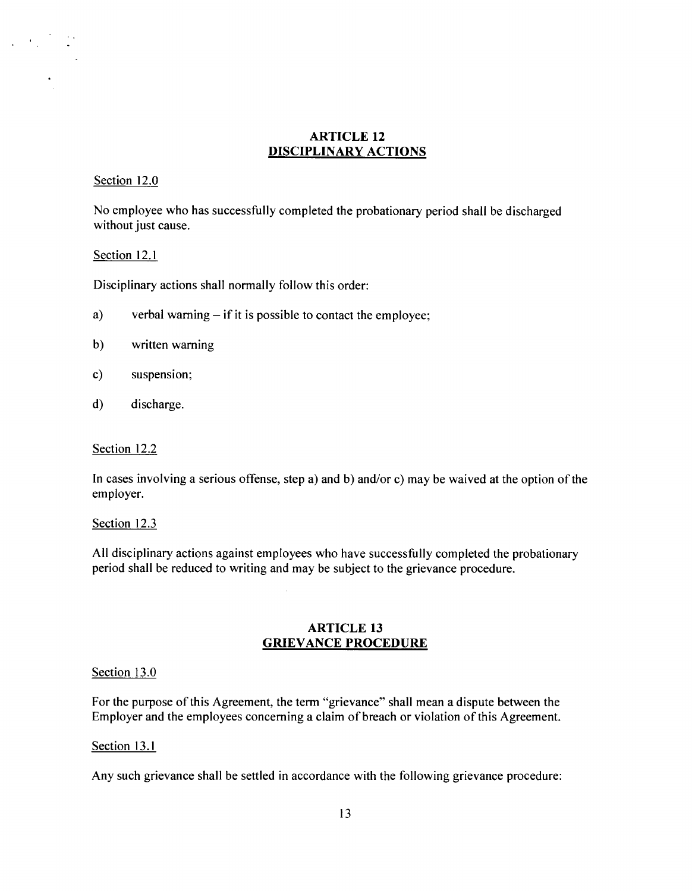## **ARTICLE 12 DISCIPLINARY ACTIONS**

## Section 12.0

No employee who has successfully completed the probationary period shall be discharged without just cause.

#### Section 12.1

Disciplinary actions shall normally follow this order:

- a) verbal warning if it is possible to contact the employee;
- b) written warning
- c) suspension;
- d) discharge.

## Section 12.2

In cases involving a serious offense, step a) and b) and/or c) may be waived at the option of the employer.

## Section 12.3

All disciplinary actions against employees who have successfully completed the probationary period shall be reduced to writing and may be subject to the grievance procedure.

## **ARTICLE 13 GRIEVANCE PROCEDURE**

## Section 13.0

For the purpose of this Agreement, the term "grievance" shall mean a dispute between the Employer and the employees concerning a claim of breach or violation of this Agreement.

#### Section 13.1

Any such grievance shall be settled in accordance with the following grievance procedure: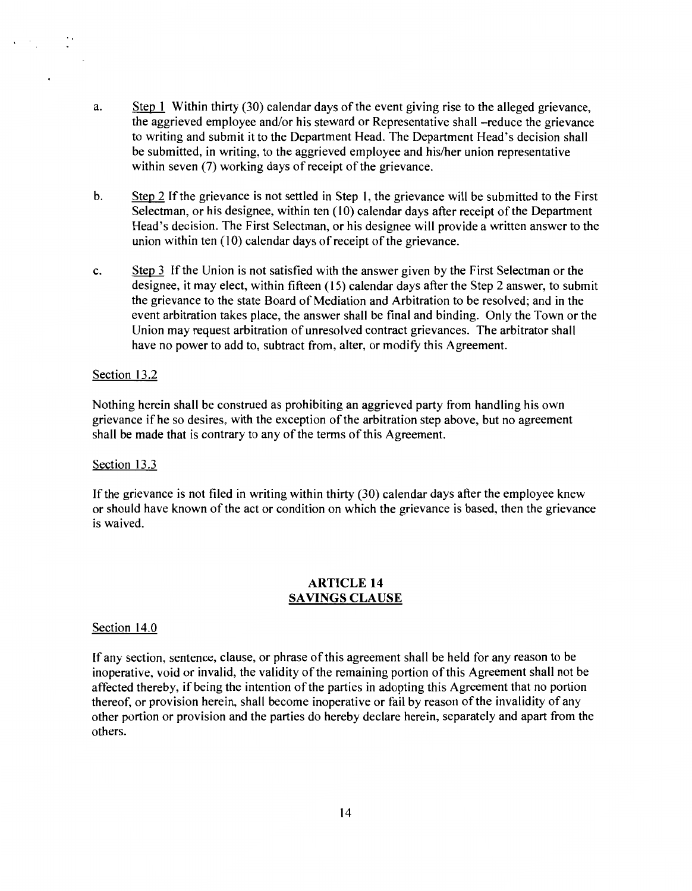- a. Step 1 Within thirty (30) calendar days of the event giving rise to the alleged grievance, the aggrieved employee and/or his steward or Representative shall -reduce the grievance to writing and submit it to the Department Head. The Department Head's decision shall be submitted, in writing, to the aggrieved employee and his/her union representative within seven (7) working days of receipt of the grievance.
- b. Step 2 If the grievance is not settled in Step 1, the grievance will be submitted to the First Selectman, or his designee, within ten (10) calendar days after receipt of the Department Head's decision. The First Selectman, or his designee will provide a written answer to the union within ten  $(10)$  calendar days of receipt of the grievance.
- c. Step  $\frac{3}{5}$  If the Union is not satisfied with the answer given by the First Selectman or the designee, it may elect, within fifteen (15) calendar days after the Step 2 answer, to submit the grievance to the state Board of Mediation and Arbitration to be resolved; and in the event arbitration takes place, the answer shall be final and binding. Only the Town or the Union may request arbitration of unresolved contract grievances. The arbitrator shall have no power to add to, subtract from, alter, or modify this Agreement.

#### Section 13.2

Nothing herein shall be construed as prohibiting an aggrieved party from handling his own grievance ifhe so desires, with the exception ofthe arbitration step above, but no agreement shall be made that is contrary to any of the terms of this Agreement.

#### Section 13.3

If the grievance is not filed in writing within thirty (30) calendar days after the employee knew or should have known of the act or condition on which the grievance is based, then the grievance is waived.

#### ARTICLE 14 SAVINGS CLAUSE

#### Section 14.0

If any section, sentence, clause, or phrase of this agreement shall be held for any reason to be inoperative, void or invalid, the validity of the remaining portion of this Agreement shall not be affected thereby, if being the intention of the parties in adopting this Agreement that no portion thereof, or provision herein, shall become inoperative or fail by reason of the invalidity of any other portion or provision and the parties do hereby declare herein, separately and apart from the others.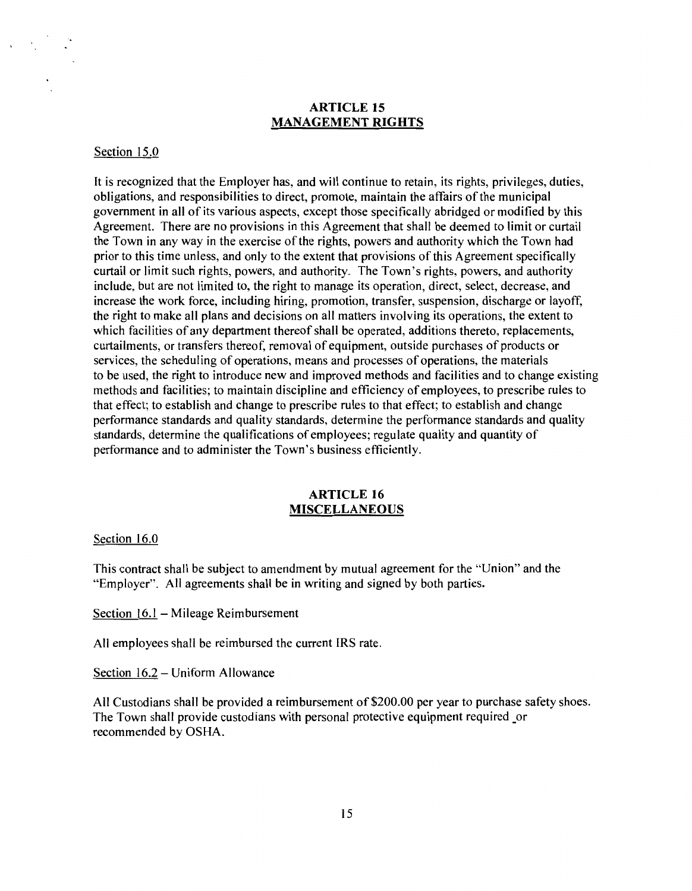## **ARTICLE 15 MANAGEMENT RIGHTS**

#### Section 15.0

It is recognized that the Employer has, and will continue to retain, its rights, privileges, duties, obligations, and responsibilities to direct, promote, maintain the affairs of the municipal government in all of its various aspects, except those specifically abridged or modified by this Agreement. There are no provisions in this Agreement that shall be deemed to limit or curtail the Town in any way in the exercise ofthe rights, powers and authority which the Town had prior to this time unless, and only to the extent that provisions of this Agreement specifically curtail or limit such rights, powers, and authority. The Town's rights, powers, and authority include, but are not limited to, the right to manage its operation, direct, select, decrease, and increase the work force, including hiring, promotion, transfer, suspension, discharge or layoff, the right to make all plans and decisions on all matters involving its operations, the extent to which facilities of any department thereof shall be operated, additions thereto, replacements, curtailments, or transfers thereof, removal of equipment, outside purchases of products or services, the scheduling of operations, means and processes of operations, the materials to be used, the right to introduce new and improved methods and facilities and to change existing methods and facilities; to maintain discipline and efficiency of employees, to prescribe rules to that effect; to establish and change to prescribe rules to that effect; to establish and change performance standards and quality standards, determine the performance standards and quality standards, determine the qualifications of employees; regulate quality and quantity of performance and to administer the Town's business efficiently.

## **ARTICLE 16 MISCELLANEOUS**

#### Section 16.0

This contract shall be subject to amendment by mutual agreement for the "Union" and the "Employer". All agreements shall be in writing and signed by both parties.

Section 16.1 - Mileage Reimbursement

All employees shall be reimbursed the current IRS rate.

Section 16.2- Uniform Allowance

All Custodians shall be provided a reimbursement of \$200.00 per year to purchase safety shoes. The Town shall provide custodians with personal protective equipment required \_or recommended by OSHA.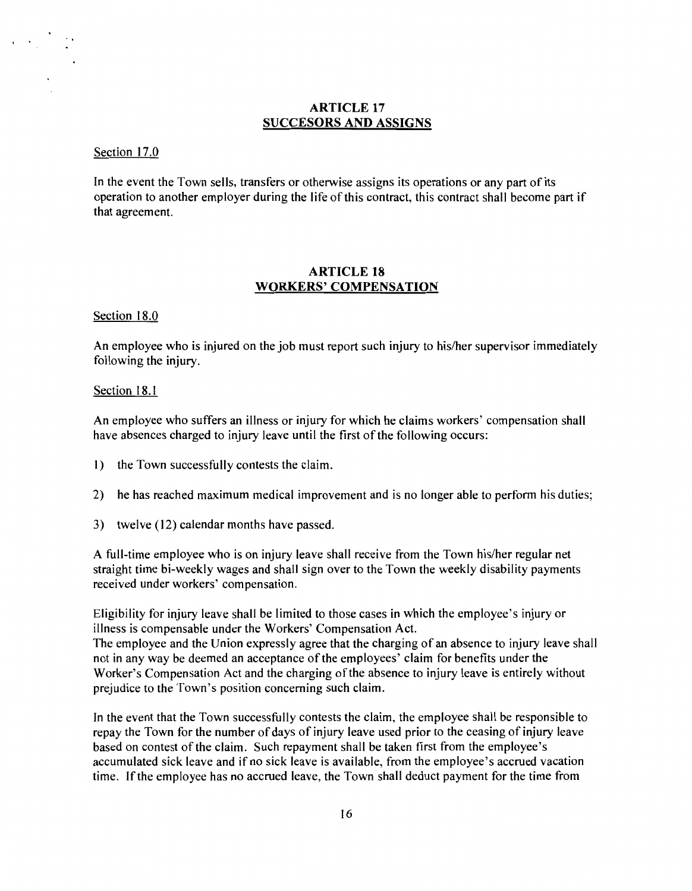## ARTICLE 17 SUCCESORS AND ASSIGNS

#### Section 17.0

In the event the Town sells, transfers or otherwise assigns its operations or any part of its operation to another employer during the life of this contract, this contract shall become part if that agreement.

## ARTICLE 18 WORKERS' COMPENSATION

Section 18.0

An employee who is injured on the job must report such injury to his/her supervisor immediately following the injury.

#### Section 18.1

An employee who suffers an illness or injury for which he claims workers' compensation shall have absences charged to injury leave until the first of the following occurs:

- I) the Town successfully contests the claim.
- 2) he has reached maximum medical improvement and is no longer able to perform his duties;
- 3) twelve (12) calendar months have passed.

A full-time employee who is on injury leave shall receive from the Town his/her regular net straight time bi-weekly wages and shall sign over to the Town the weekly disability payments received under workers' compensation.

Eligibility for injury leave shall be limited to those cases in which the employee's injury or illness is compensable under the Workers' Compensation Act.

The employee and the Union expressly agree that the charging of an absence to injury leave shall not in any way be deemed an acceptance of the employees' claim for benefits under the Worker's Compensation Act and the charging of the absence to injury leave is entirely without prejudice to the Town's position concerning such claim.

In the event that the Town successfully contests the claim, the employee shall be responsible to repay the Town for the number of days of injury leave used prior to the ceasing of injury leave based on contest of the claim. Such repayment shall be taken first from the employee's accumulated sick leave and if no sick leave is available, from the employee's accrued vacation time. If the employee has no accrued leave, the Town shall deduct payment for the time from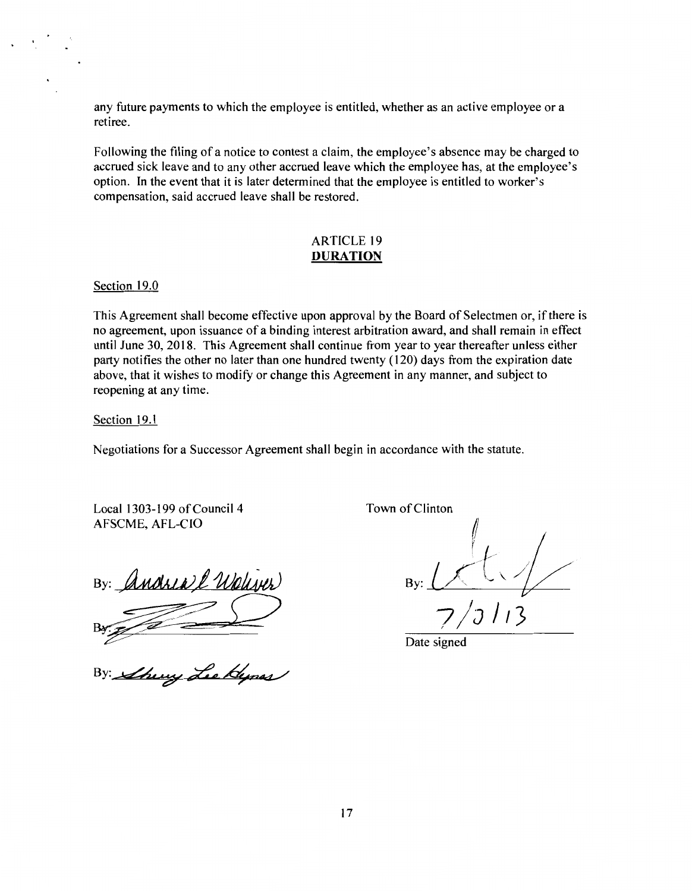any future payments to which the employee is entitled, whether as an active employee or a retiree.

Following the filing of a notice to contest a claim, the employee's absence may be charged to accrued sick leave and to any other accrued leave which the employee has, at the employee's option. In the event that it is later determined that the employee is entitled to worker's compensation, said accrued leave shall be restored.

## ARTICLE 19 **DURATION**

Section 19.0

This Agreement shall become effective upon approval by the Board of Selectmen or, if there is no agreement, upon issuance of a binding interest arbitration award, and shall remain in effect until June 30, 2018. This Agreement shall continue from year to year thereafter unless either party notifies the other no later than one hundred twenty ( 120) days from the expiration date above, that it wishes to modify or change this Agreement in any manner, and subject to reopening at any time.

Section 19.1

Negotiations for a Successor Agreement shall begin in accordance with the statute.

Local 1303-199 of Council 4 AFSCME, AFL-CIO

Andrea l Weliver

there Lee Hypes

Town of Clinton

By:

Date signed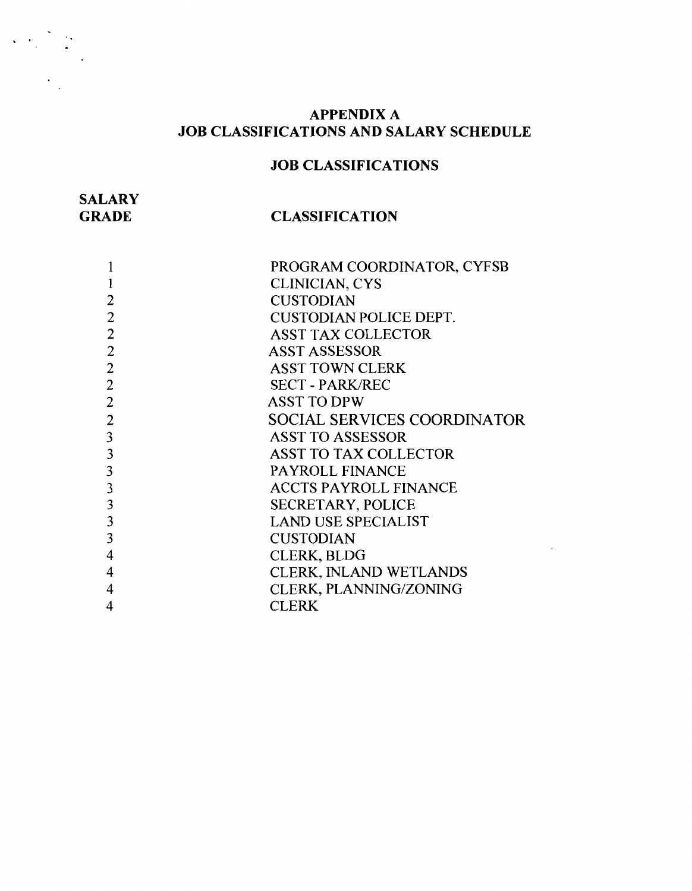## **APPENDIX A JOB CLASSIFICATIONS AND SALARY SCHEDULE**

# **JOB CLASSIFICATIONS**

| <b>SALARY</b> |                       |
|---------------|-----------------------|
| <b>GRADE</b>  | <b>CLASSIFICATION</b> |

|   | PROGRAM COORDINATOR, CYFSB         |
|---|------------------------------------|
|   | <b>CLINICIAN, CYS</b>              |
| 2 | <b>CUSTODIAN</b>                   |
| 2 | <b>CUSTODIAN POLICE DEPT.</b>      |
| 2 | <b>ASST TAX COLLECTOR</b>          |
| 2 | <b>ASST ASSESSOR</b>               |
| 2 | <b>ASST TOWN CLERK</b>             |
| 2 | <b>SECT - PARK/REC</b>             |
| 2 | <b>ASST TO DPW</b>                 |
| 2 | <b>SOCIAL SERVICES COORDINATOR</b> |
| 3 | <b>ASST TO ASSESSOR</b>            |
| 3 | <b>ASST TO TAX COLLECTOR</b>       |
| 3 | <b>PAYROLL FINANCE</b>             |
| 3 | <b>ACCTS PAYROLL FINANCE</b>       |
| 3 | <b>SECRETARY, POLICE</b>           |
| 3 | <b>LAND USE SPECIALIST</b>         |
| 3 | <b>CUSTODIAN</b>                   |
| 4 | <b>CLERK, BLDG</b>                 |
| 4 | CLERK, INLAND WETLANDS             |
|   | <b>CLERK, PLANNING/ZONING</b>      |
| 4 | <b>CLERK</b>                       |